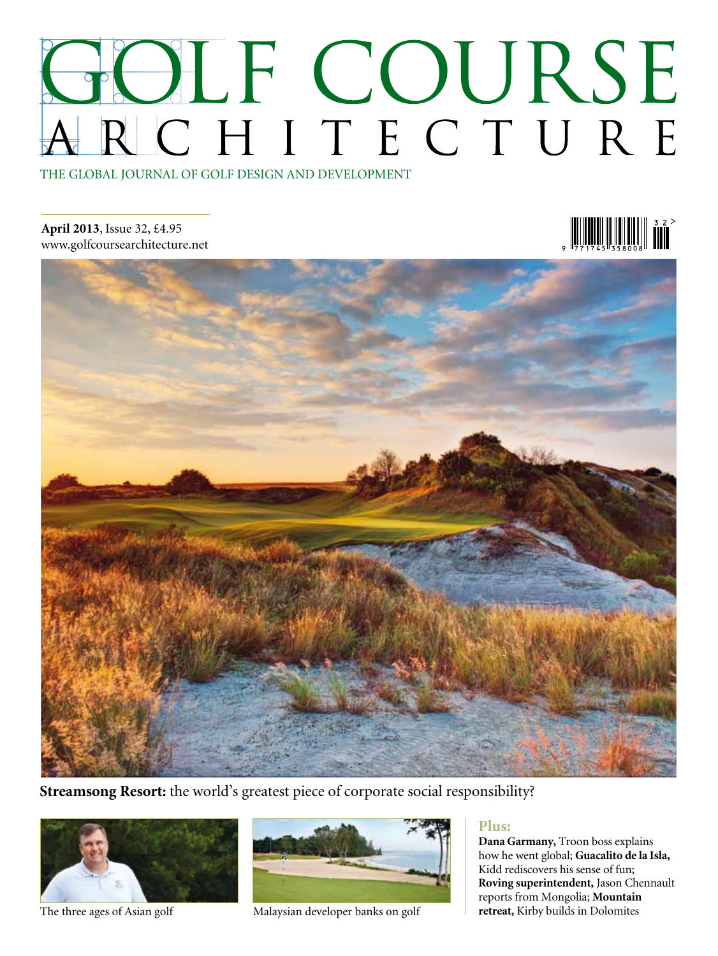## HOLF COURSE RCHITECTURE THE GLOBAL JOURNAL OF GOLF DESIGN AND DEVELOPMENT

**April 2013**, Issue 32, £4.95 www.golfcoursearchitecture.net

### $\frac{1}{277177587008}$



**Streamsong Resort:** the world's greatest piece of corporate social responsibility?





The three ages of Asian golf Malaysian developer banks on golf

#### **Plus:**

**Dana Garmany,** Troon boss explains how he went global; **Guacalito de la Isla,** Kidd rediscovers his sense of fun; **Roving superintendent,** Jason Chennault reports from Mongolia; **Mountain retreat,** Kirby builds in Dolomites